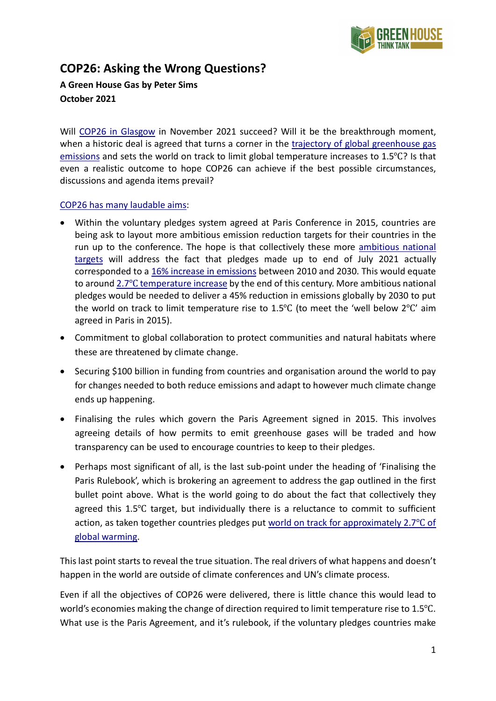

## **COP26: Asking the Wrong Questions?**

**A Green House Gas by Peter Sims October 2021**

Will [COP26 in Glasgow](https://ukcop26.org/) in November 2021 succeed? Will it be the breakthrough moment, when a historic deal is agreed that turns a corner in the [trajectory of global greenhouse gas](https://www.climate-transparency.org/g20-climate-performance/g20report2021)  [emissions](https://www.climate-transparency.org/g20-climate-performance/g20report2021) and sets the world on track to limit global temperature increases to 1.5℃? Is that even a realistic outcome to hope COP26 can achieve if the best possible circumstances, discussions and agenda items prevail?

## [COP26 has many laudable aims:](https://ukcop26.org/cop26-goals/)

- Within the voluntary pledges system agreed at Paris Conference in 2015, countries are being ask to layout more ambitious emission reduction targets for their countries in the run up to the conference. The hope is that collectively these more [ambitious national](https://wwf.panda.org/wwf_news/?1586966/UNFCCC-Synthesis-Report)  [targets](https://wwf.panda.org/wwf_news/?1586966/UNFCCC-Synthesis-Report) will address the fact that pledges made up to end of July 2021 actually corresponded to a [16% increase in emissions](https://unfccc.int/news/full-ndc-synthesis-report-some-progress-but-still-a-big-concern) between 2010 and 2030. This would equate to around [2.7](https://unfccc.int/documents/306848)[℃](https://unfccc.int/documents/306848) temperature increase by the end of this century. More ambitious national pledges would be needed to deliver a 45% reduction in emissions globally by 2030 to put the world on track to limit temperature rise to 1.5℃ (to meet the 'well below 2℃' aim agreed in Paris in 2015).
- Commitment to global collaboration to protect communities and natural habitats where these are threatened by climate change.
- Securing \$100 billion in funding from countries and organisation around the world to pay for changes needed to both reduce emissions and adapt to however much climate change ends up happening.
- Finalising the rules which govern the Paris Agreement signed in 2015. This involves agreeing details of how permits to emit greenhouse gases will be traded and how transparency can be used to encourage countries to keep to their pledges.
- Perhaps most significant of all, is the last sub-point under the heading of 'Finalising the Paris Rulebook', which is brokering an agreement to address the gap outlined in the first bullet point above. What is the world going to do about the fact that collectively they agreed this 1.5℃ target, but individually there is a reluctance to commit to sufficient action, as taken together countries pledges put [world on track for approximately 2.7](https://unfccc.int/documents/306848)<sup>°</sup>C of [global warming.](https://unfccc.int/documents/306848)

This last point starts to reveal the true situation. The real drivers of what happens and doesn't happen in the world are outside of climate conferences and UN's climate process.

Even if all the objectives of COP26 were delivered, there is little chance this would lead to world's economies making the change of direction required to limit temperature rise to 1.5℃. What use is the Paris Agreement, and it's rulebook, if the voluntary pledges countries make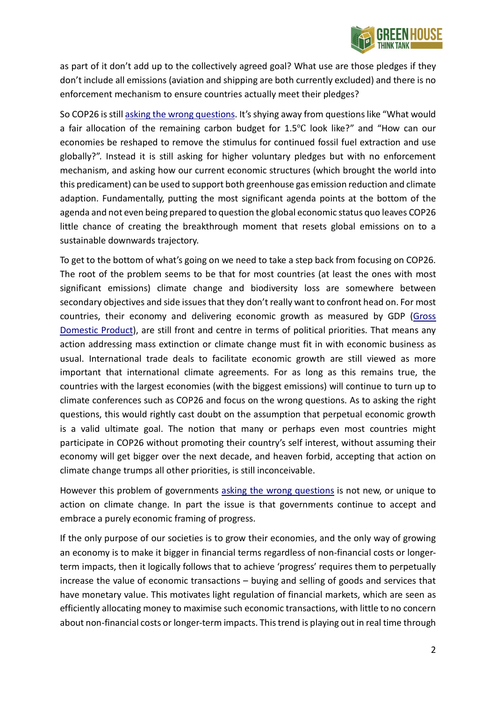

as part of it don't add up to the collectively agreed goal? What use are those pledges if they don't include all emissions (aviation and shipping are both currently excluded) and there is no enforcement mechanism to ensure countries actually meet their pledges?

So COP26 is still [asking the wrong questions.](http://greenhousethinktank.org/toolkit) It's shying away from questions like "What would a fair allocation of the remaining carbon budget for 1.5℃ look like?" and "How can our economies be reshaped to remove the stimulus for continued fossil fuel extraction and use globally?". Instead it is still asking for higher voluntary pledges but with no enforcement mechanism, and asking how our current economic structures (which brought the world into this predicament) can be used to support both greenhouse gas emission reduction and climate adaption. Fundamentally, putting the most significant agenda points at the bottom of the agenda and not even being prepared to question the global economic status quo leaves COP26 little chance of creating the breakthrough moment that resets global emissions on to a sustainable downwards trajectory.

To get to the bottom of what's going on we need to take a step back from focusing on COP26. The root of the problem seems to be that for most countries (at least the ones with most significant emissions) climate change and biodiversity loss are somewhere between secondary objectives and side issues that they don't really want to confront head on. For most countries, their economy and delivering economic growth as measured by GDP [\(Gross](https://www.bankofengland.co.uk/knowledgebank/what-is-gdp)  [Domestic Product\)](https://www.bankofengland.co.uk/knowledgebank/what-is-gdp), are still front and centre in terms of political priorities. That means any action addressing mass extinction or climate change must fit in with economic business as usual. International trade deals to facilitate economic growth are still viewed as more important that international climate agreements. For as long as this remains true, the countries with the largest economies (with the biggest emissions) will continue to turn up to climate conferences such as COP26 and focus on the wrong questions. As to asking the right questions, this would rightly cast doubt on the assumption that perpetual economic growth is a valid ultimate goal. The notion that many or perhaps even most countries might participate in COP26 without promoting their country's self interest, without assuming their economy will get bigger over the next decade, and heaven forbid, accepting that action on climate change trumps all other priorities, is still inconceivable.

However this problem of governments [asking the wrong questions](http://greenhousethinktank.org/toolkit) is not new, or unique to action on climate change. In part the issue is that governments continue to accept and embrace a purely economic framing of progress.

If the only purpose of our societies is to grow their economies, and the only way of growing an economy is to make it bigger in financial terms regardless of non-financial costs or longerterm impacts, then it logically follows that to achieve 'progress' requires them to perpetually increase the value of economic transactions – buying and selling of goods and services that have monetary value. This motivates light regulation of financial markets, which are seen as efficiently allocating money to maximise such economic transactions, with little to no concern about non-financial costs or longer-term impacts. This trend is playing out in real time through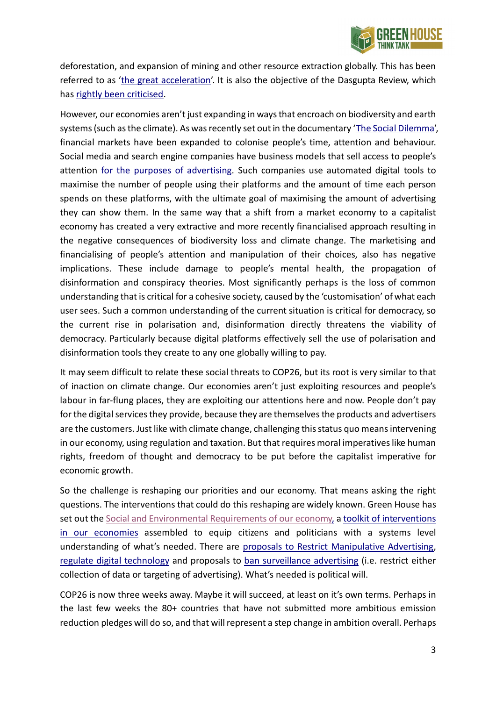

deforestation, and expansion of mining and other resource extraction globally. This has been referred to as ['the great acceleration'](https://anthropocene.info/great-acceleration.php). It is also the objective of the Dasgupta Review, which has [rightly been criticised.](https://www.tandfonline.com/doi/full/10.1080/14747731.2021.1929007)

However, our economies aren't just expanding in ways that encroach on biodiversity and earth systems (such as the climate). As was recently set out in the documentary ['The Social Dilemma',](https://www.thesocialdilemma.com/) financial markets have been expanded to colonise people's time, attention and behaviour. Social media and search engine companies have business models that sell access to people's attention [for the purposes of advertising.](http://greenhousethinktank.org/report/jan-2021/) Such companies use automated digital tools to maximise the number of people using their platforms and the amount of time each person spends on these platforms, with the ultimate goal of maximising the amount of advertising they can show them. In the same way that a shift from a market economy to a capitalist economy has created a very extractive and more recently financialised approach resulting in the negative consequences of biodiversity loss and climate change. The marketising and financialising of people's attention and manipulation of their choices, also has negative implications. These include damage to people's mental health, the propagation of disinformation and conspiracy theories. Most significantly perhaps is the loss of common understanding that is critical for a cohesive society, caused by the 'customisation' of what each user sees. Such a common understanding of the current situation is critical for democracy, so the current rise in polarisation and, disinformation directly threatens the viability of democracy. Particularly because digital platforms effectively sell the use of polarisation and disinformation tools they create to any one globally willing to pay.

It may seem difficult to relate these social threats to COP26, but its root is very similar to that of inaction on climate change. Our economies aren't just exploiting resources and people's labour in far-flung places, they are exploiting our attentions here and now. People don't pay for the digital services they provide, because they are themselves the products and advertisers are the customers. Just like with climate change, challenging this status quo means intervening in our economy, using regulation and taxation. But that requires moral imperatives like human rights, freedom of thought and democracy to be put before the capitalist imperative for economic growth.

So the challenge is reshaping our priorities and our economy. That means asking the right questions. The interventions that could do this reshaping are widely known. Green House has set out the [Social and Environmental Requirements of](http://greenhousethinktank.org/report/may-2021) our economy, a toolkit of interventions [in our economies](http://greenhousethinktank.org/toolkit) assembled to equip citizens and politicians with a systems level understanding of what's needed. There are [proposals to Restrict Manipulative Advertising,](http://greenhousethinktank.org/report/jan-2021/) [regulate](https://www.humanetech.com/policy-principles) digital technology and proposals to [ban surveillance advertising](https://www.bansurveillanceadvertising.com/) (i.e. restrict either collection of data or targeting of advertising). What's needed is political will.

COP26 is now three weeks away. Maybe it will succeed, at least on it's own terms. Perhaps in the last few weeks the 80+ countries that have not submitted more ambitious emission reduction pledges will do so, and that will represent a step change in ambition overall. Perhaps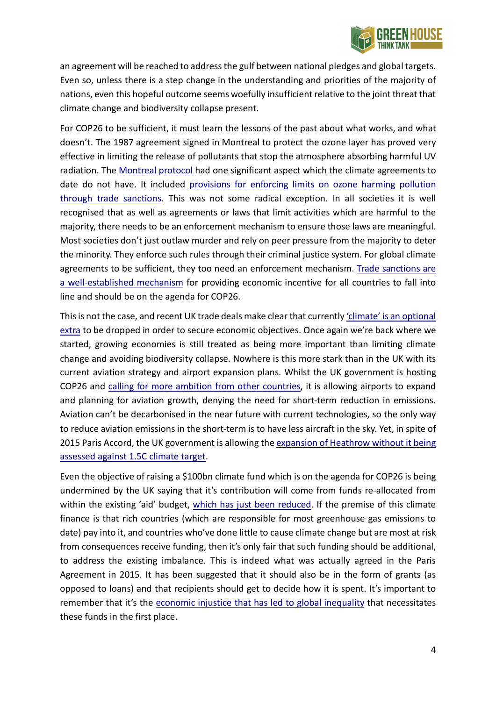

an agreement will be reached to address the gulf between national pledges and global targets. Even so, unless there is a step change in the understanding and priorities of the majority of nations, even this hopeful outcome seems woefully insufficient relative to the joint threat that climate change and biodiversity collapse present.

For COP26 to be sufficient, it must learn the lessons of the past about what works, and what doesn't. The 1987 agreement signed in Montreal to protect the ozone layer has proved very effective in limiting the release of pollutants that stop the atmosphere absorbing harmful UV radiation. The [Montreal protocol](https://www.unep.org/ozonaction/who-we-are/about-montreal-protocol) had one significant aspect which the climate agreements to date do not have. It included provisions for enforcing limits on ozone harming pollution [through trade sanctions.](https://ec.europa.eu/clima/sites/clima/files/docs/montreal_prot_en.pdf) This was not some radical exception. In all societies it is well recognised that as well as agreements or laws that limit activities which are harmful to the majority, there needs to be an enforcement mechanism to ensure those laws are meaningful. Most societies don't just outlaw murder and rely on peer pressure from the majority to deter the minority. They enforce such rules through their criminal justice system. For global climate agreements to be sufficient, they too need an enforcement mechanism. [Trade sanctions are](https://www.gov.uk/guidance/current-arms-embargoes-and-other-restrictions)  [a well-established mechanism](https://www.gov.uk/guidance/current-arms-embargoes-and-other-restrictions) for providing economic incentive for all countries to fall into line and should be on the agenda for COP26.

This is not the case, and recent UK trade deals make clear that currentl[y 'climate' is an optional](https://www.bbc.co.uk/news/business-58493481)  [extra](https://www.bbc.co.uk/news/business-58493481) to be dropped in order to secure economic objectives. Once again we're back where we started, growing economies is still treated as being more important than limiting climate change and avoiding biodiversity collapse. Nowhere is this more stark than in the UK with its current aviation strategy and airport expansion plans. Whilst the UK government is hosting COP26 and [calling for more ambition](https://www.bbc.co.uk/news/uk-politics-58627995) [from other countries,](https://www.bbc.co.uk/news/uk-politics-58627995) it is allowing airports to expand and planning for aviation growth, denying the need for short-term reduction in emissions. Aviation can't be decarbonised in the near future with current technologies, so the only way to reduce aviation emissions in the short-term is to have less aircraft in the sky. Yet, in spite of 2015 Paris Accord, the UK government is allowing th[e expansion](https://planb.earth/plan-b-v-heathrow-expansion/) [of Heathrow without it being](https://planb.earth/plan-b-v-heathrow-expansion/)  [assessed against 1.5C climate target.](https://planb.earth/plan-b-v-heathrow-expansion/)

Even the objective of raising a \$100bn climate fund which is on the agenda for COP26 is being undermined by the UK saying that it's contribution will come from funds re-allocated from within the existing 'aid' budget, [which has just been reduced.](https://www.bbc.co.uk/news/57362816) If the premise of this climate finance is that rich countries (which are responsible for most greenhouse gas emissions to date) pay into it, and countries who've done little to cause climate change but are most at risk from consequences receive funding, then it's only fair that such funding should be additional, to address the existing imbalance. This is indeed what was actually agreed in the Paris Agreement in 2015. [It has been suggested that](http://greenhousethinktank.org/event-sept-2021.html) it should also be in the form of grants (as opposed to loans) and that recipients should get to decide how it is spent. It's important to remember that it's the [economic injustice that has led to](https://www.jasonhickel.org/blog/2019/1/25/the-scandal-of-british-aid) global inequality that necessitates these funds in the first place.